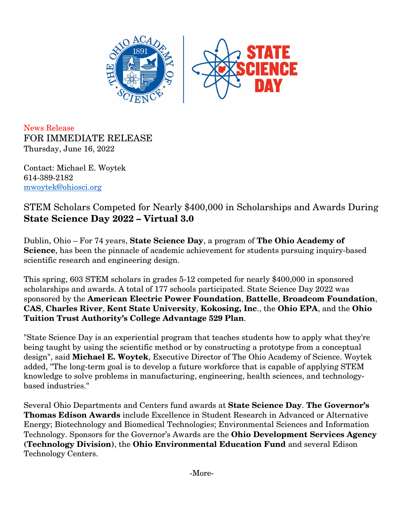

News Release FOR IMMEDIATE RELEASE Thursday, June 16, 2022

Contact: Michael E. Woytek 614-389-2182 [mwoytek@ohiosci.org](mailto:mwoytek@ohiosci.org)

STEM Scholars Competed for Nearly \$400,000 in Scholarships and Awards During **State Science Day 2022 – Virtual 3.0**

Dublin, Ohio – For 74 years, **State Science Day**, a program of **The Ohio Academy of Science**, has been the pinnacle of academic achievement for students pursuing inquiry-based scientific research and engineering design.

This spring, 603 STEM scholars in grades 5-12 competed for nearly \$400,000 in sponsored scholarships and awards. A total of 177 schools participated. State Science Day 2022 was sponsored by the **American Electric Power Foundation**, **Battelle**, **Broadcom Foundation**, **CAS**, **Charles River**, **Kent State University**, **Kokosing, Inc**., the **Ohio EPA**, and the **Ohio Tuition Trust Authority's College Advantage 529 Plan**.

"State Science Day is an experiential program that teaches students how to apply what they're being taught by using the scientific method or by constructing a prototype from a conceptual design", said **Michael E. Woytek**, Executive Director of The Ohio Academy of Science. Woytek added, "The long-term goal is to develop a future workforce that is capable of applying STEM knowledge to solve problems in manufacturing, engineering, health sciences, and technologybased industries."

Several Ohio Departments and Centers fund awards at **State Science Day**. **The Governor's Thomas Edison Awards** include Excellence in Student Research in Advanced or Alternative Energy; Biotechnology and Biomedical Technologies; Environmental Sciences and Information Technology. Sponsors for the Governor's Awards are the **Ohio Development Services Agency (Technology Division)**, the **Ohio Environmental Education Fund** and several Edison Technology Centers.